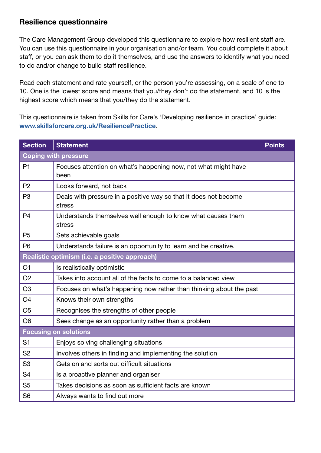## Resilience questionnaire

The Care Management Group developed this questionnaire to explore how resilient staff are. You can use this questionnaire in your organisation and/or team. You could complete it about staff, or you can ask them to do it themselves, and use the answers to identify what you need to do and/or change to build staff resilience.

Read each statement and rate yourself, or the person you're assessing, on a scale of one to 10. One is the lowest score and means that you/they don't do the statement, and 10 is the highest score which means that you/they do the statement.

This questionnaire is taken from Skills for Care's 'Developing resilience in practice' guide: [www.skillsforcare.org.uk/ResiliencePractice](http://www.skillsforcare.org.uk/ResiliencePractice).

| <b>Section</b>                                | <b>Statement</b>                                                           | <b>Points</b> |  |
|-----------------------------------------------|----------------------------------------------------------------------------|---------------|--|
| <b>Coping with pressure</b>                   |                                                                            |               |  |
| P <sub>1</sub>                                | Focuses attention on what's happening now, not what might have<br>been     |               |  |
| P <sub>2</sub>                                | Looks forward, not back                                                    |               |  |
| P <sub>3</sub>                                | Deals with pressure in a positive way so that it does not become<br>stress |               |  |
| P <sub>4</sub>                                | Understands themselves well enough to know what causes them<br>stress      |               |  |
| P <sub>5</sub>                                | Sets achievable goals                                                      |               |  |
| P <sub>6</sub>                                | Understands failure is an opportunity to learn and be creative.            |               |  |
| Realistic optimism (i.e. a positive approach) |                                                                            |               |  |
| O <sub>1</sub>                                | Is realistically optimistic                                                |               |  |
| O <sub>2</sub>                                | Takes into account all of the facts to come to a balanced view             |               |  |
| O <sub>3</sub>                                | Focuses on what's happening now rather than thinking about the past        |               |  |
| O <sub>4</sub>                                | Knows their own strengths                                                  |               |  |
| O <sub>5</sub>                                | Recognises the strengths of other people                                   |               |  |
| O <sub>6</sub>                                | Sees change as an opportunity rather than a problem                        |               |  |
| <b>Focusing on solutions</b>                  |                                                                            |               |  |
| S <sub>1</sub>                                | Enjoys solving challenging situations                                      |               |  |
| S <sub>2</sub>                                | Involves others in finding and implementing the solution                   |               |  |
| S <sub>3</sub>                                | Gets on and sorts out difficult situations                                 |               |  |
| S <sub>4</sub>                                | Is a proactive planner and organiser                                       |               |  |
| S <sub>5</sub>                                | Takes decisions as soon as sufficient facts are known                      |               |  |
| S <sub>6</sub>                                | Always wants to find out more                                              |               |  |